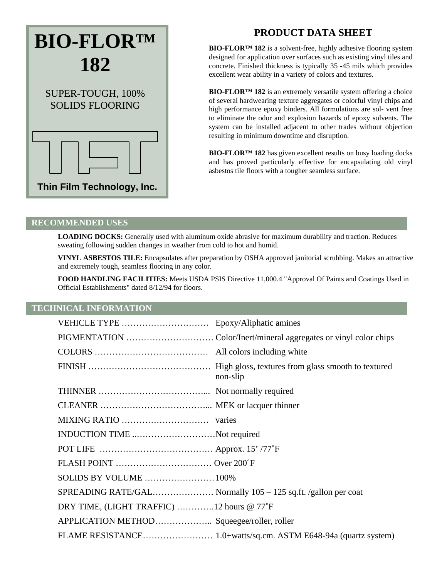# **BIO-FLOR™ 182** SUPER-TOUGH, 100%

SOLIDS FLOORING

# **Thin Film Technology, Inc.**

# **PRODUCT DATA SHEET**

**BIO-FLOR™ 182** is a solvent-free, highly adhesive flooring system designed for application over surfaces such as existing vinyl tiles and concrete. Finished thickness is typically 35 -45 mils which provides excellent wear ability in a variety of colors and textures.

**BIO-FLOR™ 182** is an extremely versatile system offering a choice of several hardwearing texture aggregates or colorful vinyl chips and high performance epoxy binders. All formulations are sol- vent free to eliminate the odor and explosion hazards of epoxy solvents. The system can be installed adjacent to other trades without objection resulting in minimum downtime and disruption.

**BIO-FLOR™ 182** has given excellent results on busy loading docks and has proved particularly effective for encapsulating old vinyl asbestos tile floors with a tougher seamless surface.

### **RECOMMENDED USES**

**LOADING DOCKS:** Generally used with aluminum oxide abrasive for maximum durability and traction. Reduces sweating following sudden changes in weather from cold to hot and humid.

**VINYL ASBESTOS TILE:** Encapsulates after preparation by OSHA approved janitorial scrubbing. Makes an attractive and extremely tough, seamless flooring in any color.

**FOOD HANDLING FACILITIES:** Meets USDA PSIS Directive 11,000.4 "Approval Of Paints and Coatings Used in Official Establishments" dated 8/12/94 for floors.

# **TECHNICAL INFORMATION**

|                                             | non-slip |
|---------------------------------------------|----------|
|                                             |          |
|                                             |          |
|                                             |          |
| INDUCTION TIME Not required                 |          |
|                                             |          |
| FLASH POINT  Over 200°F                     |          |
|                                             |          |
|                                             |          |
| DRY TIME, (LIGHT TRAFFIC) 12 hours $@ 77°F$ |          |
|                                             |          |
|                                             |          |